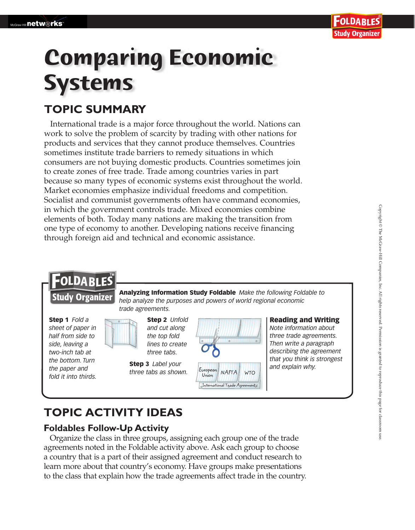# **Comparing Economic Systems**

## **TOPIC SUMMARY**

International trade is a major force throughout the world. Nations can work to solve the problem of scarcity by trading with other nations for products and services that they cannot produce themselves. Countries sometimes institute trade barriers to remedy situations in which consumers are not buying domestic products. Countries sometimes join to create zones of free trade. Trade among countries varies in part because so many types of economic systems exist throughout the world. Market economies emphasize individual freedoms and competition. Socialist and communist governments often have command economies, in which the government controls trade. Mixed economies combine elements of both. Today many nations are making the transition from one type of economy to another. Developing nations receive financing through foreign aid and technical and economic assistance.

## FOLDABLES

**Study Organizer** 

Step 1 *Fold a sheet of paper in half from side to side, leaving a two-inch tab at the bottom. Turn the paper and fold it into thirds.*



Step 2 *Unfold and cut along the top fold lines to create three tabs.*

**step 3** *Label your*<br>*three tabs as shown.* Evropean **NAFTA WTO** and explain why. *three tabs as shown.*



International Trade Agreement s

Analyzing Information Study Foldable *Make the following Foldable to help analyze the purposes and powers of world regional economic* 

#### Reading and Writing

*Note information about three trade agreements. Then write a paragraph describing the agreement that you think is strongest*

## **TOPIC ACTIVITY IDEAS**

#### **Foldables Follow-Up Activity**

Organize the class in three groups, assigning each group one of the trade agreements noted in the Foldable activity above. Ask each group to choose a country that is a part of their assigned agreement and conduct research to learn more about that country's economy. Have groups make presentations to the class that explain how the trade agreements affect trade in the country.